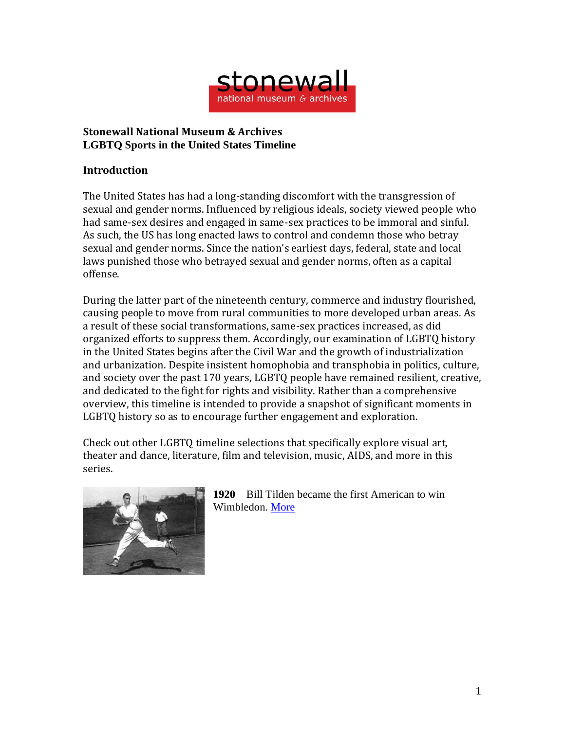

## **Stonewall National Museum & Archives LGBTQ Sports in the United States Timeline**

## **Introduction**

The United States has had a long-standing discomfort with the transgression of sexual and gender norms. Influenced by religious ideals, society viewed people who had same-sex desires and engaged in same-sex practices to be immoral and sinful. As such, the US has long enacted laws to control and condemn those who betray sexual and gender norms. Since the nation's earliest days, federal, state and local laws punished those who betrayed sexual and gender norms, often as a capital offense.

During the latter part of the nineteenth century, commerce and industry flourished, causing people to move from rural communities to more developed urban areas. As a result of these social transformations, same-sex practices increased, as did organized efforts to suppress them. Accordingly, our examination of LGBTQ history in the United States begins after the Civil War and the growth of industrialization and urbanization. Despite insistent homophobia and transphobia in politics, culture, and society over the past 170 years, LGBTQ people have remained resilient, creative, and dedicated to the fight for rights and visibility. Rather than a comprehensive overview, this timeline is intended to provide a snapshot of significant moments in LGBTQ history so as to encourage further engagement and exploration.

Check out other LGBTQ timeline selections that specifically explore visual art, theater and dance, literature, film and television, music, AIDS, and more in this series.



**1920** Bill Tilden became the first American to win Wimbledon. [More](https://www.outsports.com/2014/6/24/5836830/bill-tilden-gay-tennis-wimbledon-history)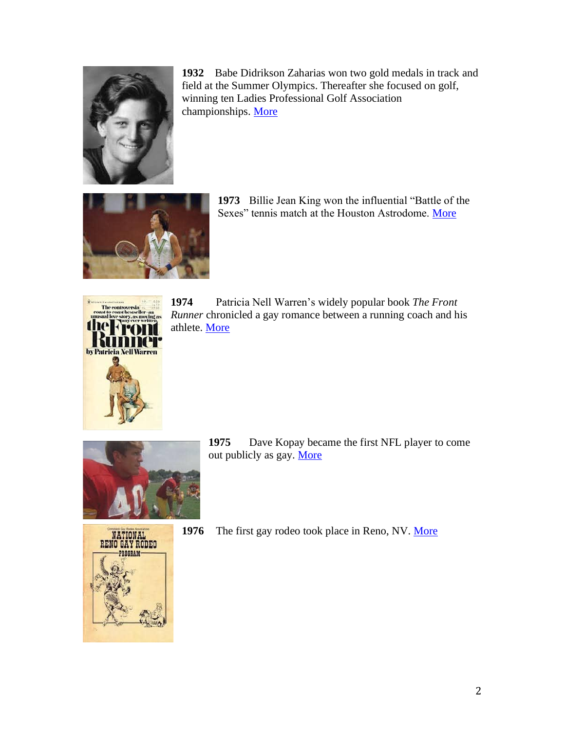

**1932** Babe Didrikson Zaharias won two gold medals in track and field at the Summer Olympics. Thereafter she focused on golf, winning ten Ladies Professional Golf Association championships. [More](https://www.nytimes.com/2011/06/26/sports/golf/babe-didrikson-zahariass-legacy-fades.html)



**1973** Billie Jean King won the influential "Battle of the Sexes" tennis match at the Houston Astrodome. [More](https://www.nbcnews.com/feature/nbc-out/it-was-horrible-billie-jean-king-recalls-being-publicly-outed-n804451)



**1974** Patricia Nell Warren's widely popular book *The Front Runner* chronicled a gay romance between a running coach and his athlete. [More](https://www.nytimes.com/2019/02/15/obituaries/patricia-nell-warren-dies.html)







**1976** The first gay rodeo took place in Reno, NV. [More](http://gayrodeohistory.org/timeline.htm)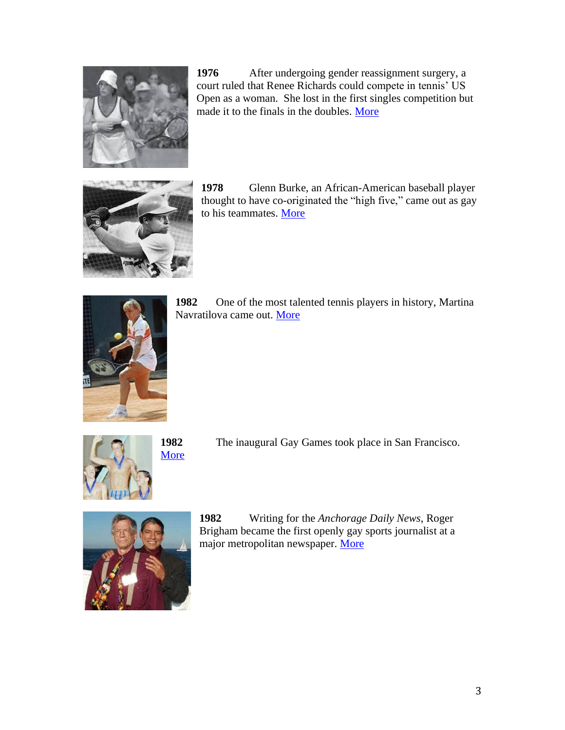

**1976** After undergoing gender reassignment surgery, a court ruled that Renee Richards could compete in tennis' US Open as a woman. She lost in the first singles competition but made it to the finals in the doubles. [More](https://www.si.com/tennis/2019/06/28/renee-richards-gender-identity-politics-transgender-where-are-they-now)



**1978** Glenn Burke, an African-American baseball player thought to have co-originated the "high five," came out as gay to his teammates. [More](https://www.washingtonpost.com/news/morning-mix/wp/2015/08/17/the-trials-of-baseballs-first-openly-gay-player-glenn-burke-four-decades-ago/)



**1982** One of the most talented tennis players in history, Martina Navratilova came out. [More](https://www.tennisfame.com/hall-of-famers/inductees/martina-navratilova)



**[More](https://www.advocate.com/sports/2018/8/03/7-fascinating-facts-about-gay-games)** 

**1982** The inaugural Gay Games took place in San Francisco.



**1982** Writing for the *Anchorage Daily News*, Roger Brigham became the first openly gay sports journalist at a major metropolitan newspaper. [More](https://www.owu.edu/news-media/details/wrestling-with-adversity/)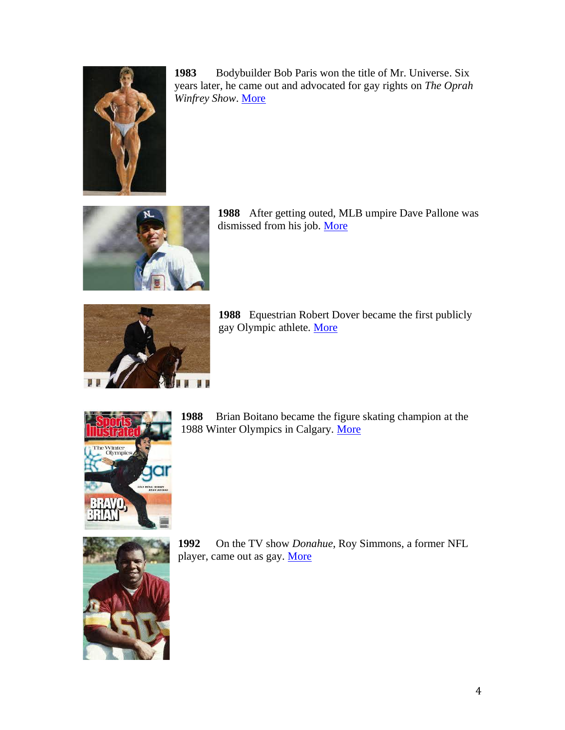

**1983** Bodybuilder Bob Paris won the title of Mr. Universe. Six years later, he came out and advocated for gay rights on *The Oprah Winfrey Show*. [More](https://www.huffpost.com/entry/bob-paris-mr-universe-gay-oprah_n_4849671)



**1988** After getting outed, MLB umpire Dave Pallone was dismissed from his job. [More](https://throomers.com/dave-pallone/)



**1988** Equestrian Robert Dover became the first publicly gay Olympic athlete. [More](https://www.outsports.com/platform/amp/2020/2/19/21138643/gay-olympic-robert-dover-equestrian-horse-riding-five-rings-athlete)



**1988** Brian Boitano became the figure skating champion at the 1988 Winter Olympics in Calgary. [More](https://www.npr.org/2014/01/02/259222698/figure-skater-brian-boitano-on-coming-out-and-going-to-sochi)



**1992** On the TV show *Donahue*, Roy Simmons, a former NFL player, came out as gay. [More](https://www.nytimes.com/2014/02/26/sports/football/roy-simmons-who-came-out-as-gay-after-retiring-from-nfl-dies-at-57.html)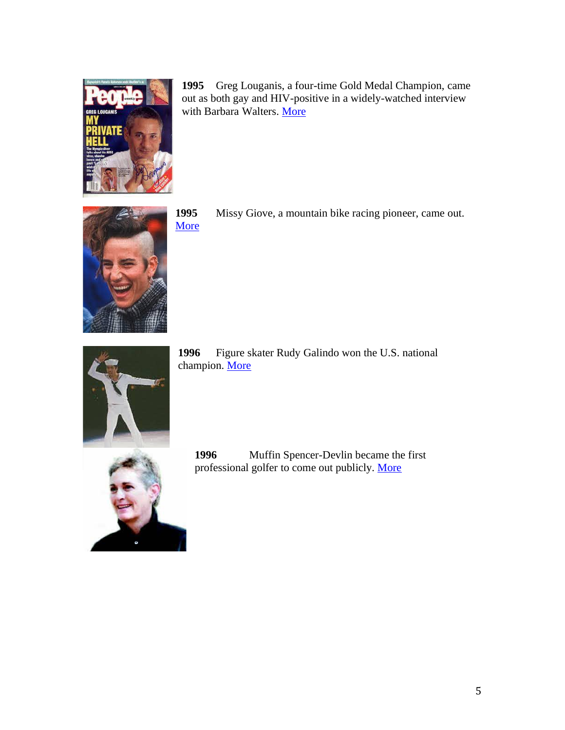

**1995** Greg Louganis, a four-time Gold Medal Champion, came out as both gay and HIV-positive in a widely-watched interview with Barbara Walters. [More](https://www.espn.com/olympics/story/_/page/bodygreglouganis/olympic-diver-greg-louganis-living-hiv-staying-fit-56-body-issue-2016)



**1995** Missy Giove, a mountain bike racing pioneer, came out. [More](https://www.outsports.com/2011/7/7/4051494/moment-97-mountain-bike-racing-champion-missy-giove-comes-out)



**1996** Figure skater Rudy Galindo won the U.S. national champion. [More](https://www.nbcnews.com/news/latino/catching-wirh-rudy-galindo-national-champion-latino-lgbt-figure-skating-n847166)



**1996** Muffin Spencer-Devlin became the first professional golfer to come out publicly. [More](http://sfbaytimes.com/lpga-lgbt-heroine-muffin-spencer-devlin/)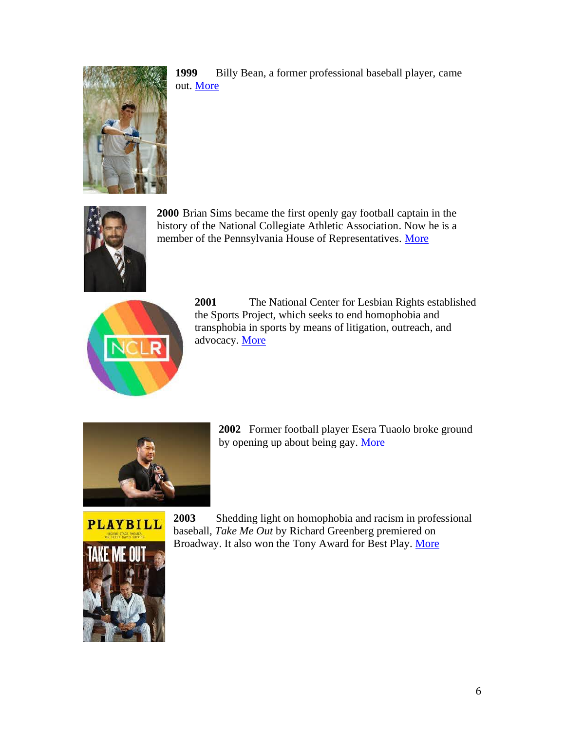

**1999** Billy Bean, a former professional baseball player, came out. [More](https://www.outsports.com/2020/10/2/21498132/billy-bean-baseball-mlb-lgbtq-sean-doolittle-washington-nationals)



**2000** Brian Sims became the first openly gay football captain in the history of the National Collegiate Athletic Association. Now he is a member of the Pennsylvania House of Representatives. [More](https://www.outsports.com/out-gay-athletes/2013/2/21/4015526/brian-sims-football-gay)



**2001** The National Center for Lesbian Rights established the Sports Project, which seeks to end homophobia and transphobia in sports by means of litigation, outreach, and advocacy. [More](https://www.nclrights.org/our-work/discrimination/sports/)



**2002** Former football player Esera Tuaolo broke ground by opening up about being gay. [More](https://www.npr.org/templates/story/story.php?storyId=5190140)

**PLAYBILL** 



**2003** Shedding light on homophobia and racism in professional baseball, *Take Me Out* by Richard Greenberg premiered on Broadway. It also won the Tony Award for Best Play. [More](https://www.playbill.com/production/take-me-out-walter-kerr-theatre-vault-0000010040)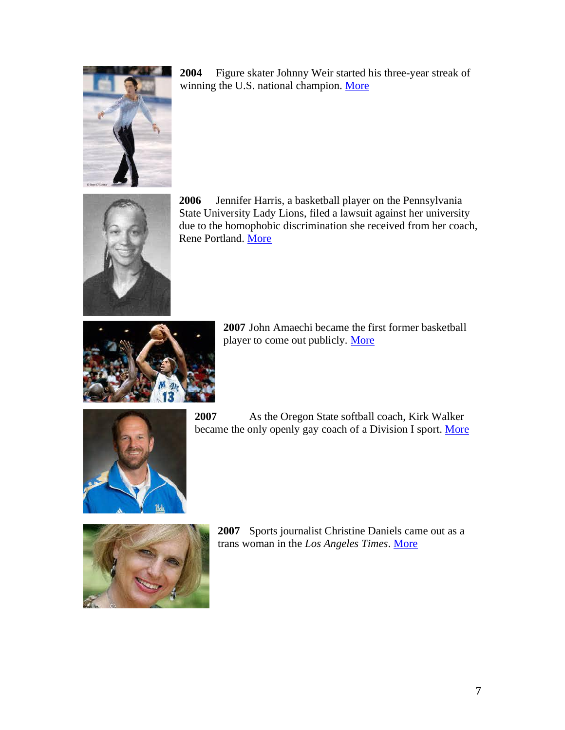

**2004** Figure skater Johnny Weir started his three-year streak of winning the U.S. national champion. [More](https://people.com/sports/johnny-weir-opens-up-being-told-you-cant-be-gay/)



**2006** Jennifer Harris, a basketball player on the Pennsylvania State University Lady Lions, filed a lawsuit against her university due to the homophobic discrimination she received from her coach, Rene Portland. [More](https://www.post-gazette.com/sports/psu/2006/04/30/How-a-promising-hoops-career-turned-sour/stories/200604300208)



**2007** John Amaechi became the first former basketball player to come out publicly. [More](https://www.espn.com/nba/news/story?id=2757105)



**2007** As the Oregon State softball coach, Kirk Walker became the only openly gay coach of a Division I sport. [More](https://www.nytimes.com/2010/05/22/sports/22softball.html)



**2007** Sports journalist Christine Daniels came out as a trans woman in the *Los Angeles Times*. [More](https://www.outsports.com/2019/10/15/20915287/lgbt-sports-history-christine-daniels-transgender-transition-death)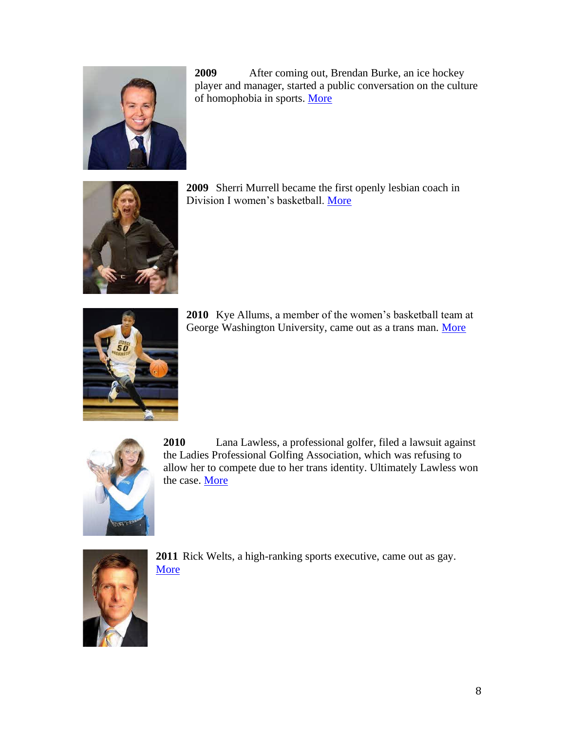

**2009** After coming out, Brendan Burke, an ice hockey player and manager, started a public conversation on the culture of homophobia in sports. [More](https://www.theglobeandmail.com/sports/brian-burkes-son-killed-in-auto-accident/article4305035/)



**2009** Sherri Murrell became the first openly lesbian coach in Division I women's basketball. [More](https://www.oregonlive.com/vikings/2011/07/sherri_murrell_after_four_winn.html)



**2010** Kye Allums, a member of the women's basketball team at George Washington University, came out as a trans man. [More](https://time.com/3537849/meet-the-first-openly-transgender-ncaa-athlete/)



**2010** Lana Lawless, a professional golfer, filed a lawsuit against the Ladies Professional Golfing Association, which was refusing to allow her to compete due to her trans identity. Ultimately Lawless won the case. [More](https://www.nytimes.com/2010/10/13/sports/golf/13lawsuit.html)



**2011** Rick Welts, a high-ranking sports executive, came out as gay. [More](https://www.nytimes.com/2011/05/16/sports/basketball/nba-executive-says-he-is-gay.html?pagewanted=all)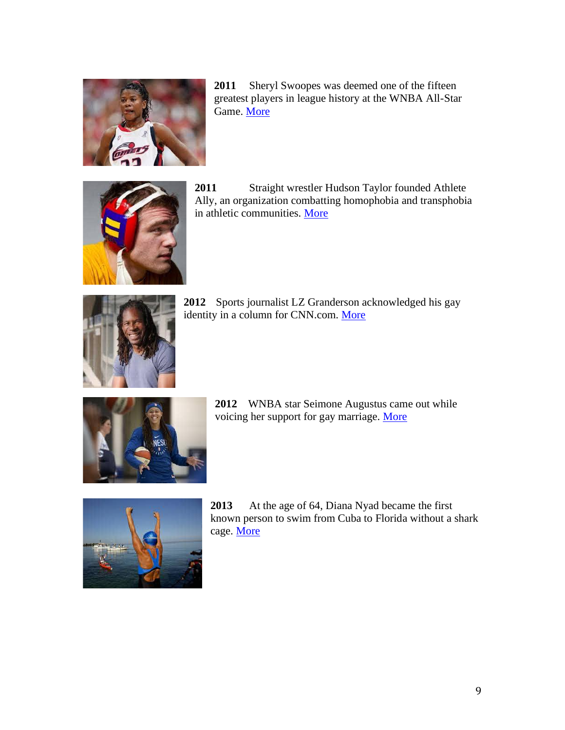

**2011** Sheryl Swoopes was deemed one of the fifteen greatest players in league history at the WNBA All-Star Game. [More](https://www.espn.com/espnw/voices/story/_/id/23532000/the-unexpected-legacy-sheryl-swoopes)



**2011** Straight wrestler Hudson Taylor founded Athlete Ally, an organization combatting homophobia and transphobia in athletic communities. [More](https://www.heartsonfire.org/hudson-taylor-athlete-ally)



**2012** Sports journalist LZ Granderson acknowledged his gay identity in a column for CNN.com. [More](https://www.chill.us/sports/2019/2/11/out-gay-black-man-dominating-sports-journalism)



**2012** WNBA star Seimone Augustus came out while voicing her support for gay marriage. [More](https://www.autostraddle.com/seimone-augustus-is-this-weeks-modern-lgbtq-trailerblazer-wcw/)



**2013** At the age of 64, Diana Nyad became the first known person to swim from Cuba to Florida without a shark cage. [More](https://www.ted.com/speakers/diana_nyad)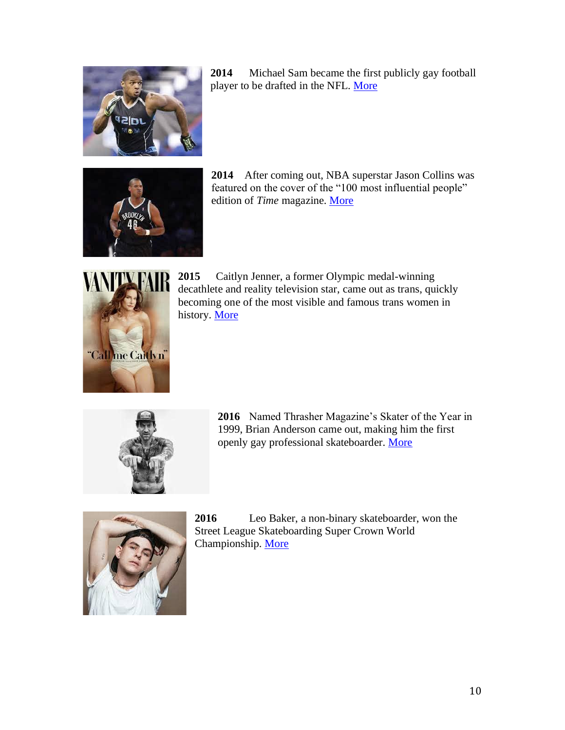

**2014** Michael Sam became the first publicly gay football player to be drafted in the NFL. [More](https://www.nytimes.com/2014/02/10/sports/michael-sam-college-football-star-says-he-is-gay-ahead-of-nfl-draft.html)



**2014** After coming out, NBA superstar Jason Collins was featured on the cover of the "100 most influential people" edition of *Time* magazine. [More](https://www.wbur.org/onlyagame/2017/08/04/jason-collins-gay-nba)



**2015** Caitlyn Jenner, a former Olympic medal-winning decathlete and reality television star, came out as trans, quickly becoming one of the most visible and famous trans women in history. [More](https://www.theguardian.com/tv-and-radio/2017/may/08/caitlyn-jenner-bruce-transitioning-kardashians-reality-tv-star)



**2016** Named Thrasher Magazine's Skater of the Year in 1999, Brian Anderson came out, making him the first openly gay professional skateboarder. [More](https://www.nytimes.com/2016/10/02/fashion/brian-anderson-skateboarding-gay-coming-out-vice-sports.html)



**2016** Leo Baker, a non-binary skateboarder, won the Street League Skateboarding Super Crown World Championship. [More](https://www.them.us/story/leo-baker-pro-skateboarding-profile)